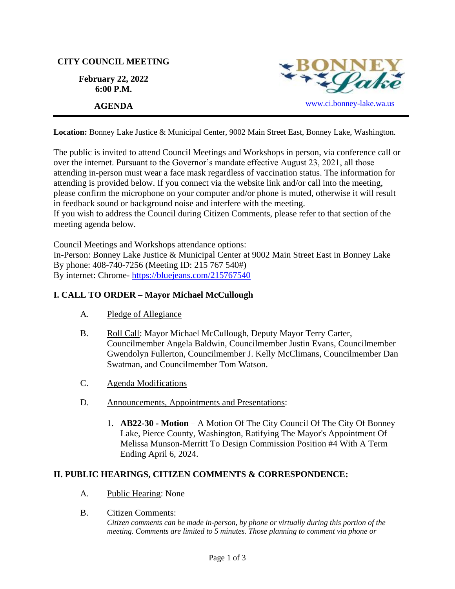## **CITY COUNCIL MEETING**

**February 22, 2022 6:00 P.M.**



**Location:** Bonney Lake Justice & Municipal Center, 9002 Main Street East, Bonney Lake, Washington.

The public is invited to attend Council Meetings and Workshops in person, via conference call or over the internet. Pursuant to the Governor's mandate effective August 23, 2021, all those attending in-person must wear a face mask regardless of vaccination status. The information for attending is provided below. If you connect via the website link and/or call into the meeting, please confirm the microphone on your computer and/or phone is muted, otherwise it will result in feedback sound or background noise and interfere with the meeting.

If you wish to address the Council during Citizen Comments, please refer to that section of the meeting agenda below.

Council Meetings and Workshops attendance options:

In-Person: Bonney Lake Justice & Municipal Center at 9002 Main Street East in Bonney Lake By phone: 408-740-7256 (Meeting ID: 215 767 540#) By internet: Chrome- [https://bluejeans.com/215767540](https://bluejeans.com/215767540?src=calendarLink&flow=joinmeeting)

# **I. CALL TO ORDER – Mayor Michael McCullough**

- A. Pledge of Allegiance
- B. Roll Call: Mayor Michael McCullough, Deputy Mayor Terry Carter, Councilmember Angela Baldwin, Councilmember Justin Evans, Councilmember Gwendolyn Fullerton, Councilmember J. Kelly McClimans, Councilmember Dan Swatman, and Councilmember Tom Watson.
- C. Agenda Modifications
- D. Announcements, Appointments and Presentations:
	- 1. **AB22-30 - Motion** A Motion Of The City Council Of The City Of Bonney Lake, Pierce County, Washington, Ratifying The Mayor's Appointment Of Melissa Munson-Merritt To Design Commission Position #4 With A Term Ending April 6, 2024.

# **II. PUBLIC HEARINGS, CITIZEN COMMENTS & CORRESPONDENCE:**

- A. Public Hearing: None
- B. Citizen Comments: *Citizen comments can be made in-person, by phone or virtually during this portion of the meeting. Comments are limited to 5 minutes. Those planning to comment via phone or*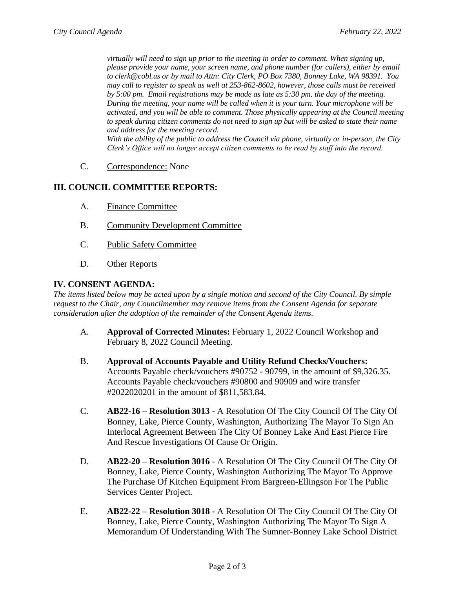*virtually will need to sign up prior to the meeting in order to comment. When signing up, please provide your name, your screen name, and phone number (for callers), either by email to clerk@cobl.us or by mail to Attn: City Clerk, PO Box 7380, Bonney Lake, WA 98391. You may call to register to speak as well at 253-862-8602, however, those calls must be received by 5:00 pm. Email registrations may be made as late as 5:30 pm. the day of the meeting. During the meeting, your name will be called when it is your turn. Your microphone will be activated, and you will be able to comment. Those physically appearing at the Council meeting to speak during citizen comments do not need to sign up but will be asked to state their name and address for the meeting record. With the ability of the public to address the Council via phone, virtually or in-person, the City Clerk's Office will no longer accept citizen comments to be read by staff into the record.*

C. Correspondence: None

### **III. COUNCIL COMMITTEE REPORTS:**

- A. Finance Committee
- B. Community Development Committee
- C. Public Safety Committee
- D. Other Reports

#### **IV. CONSENT AGENDA:**

*The items listed below may be acted upon by a single motion and second of the City Council. By simple request to the Chair, any Councilmember may remove items from the Consent Agenda for separate consideration after the adoption of the remainder of the Consent Agenda items.*

- A. **Approval of Corrected Minutes:** February 1, 2022 Council Workshop and February 8, 2022 Council Meeting.
- B. **Approval of Accounts Payable and Utility Refund Checks/Vouchers:** Accounts Payable check/vouchers #90752 - 90799, in the amount of \$9,326.35. Accounts Payable check/vouchers #90800 and 90909 and wire transfer #2022020201 in the amount of \$811,583.84.
- C. **AB22-16 – Resolution 3013** A Resolution Of The City Council Of The City Of Bonney, Lake, Pierce County, Washington, Authorizing The Mayor To Sign An Interlocal Agreement Between The City Of Bonney Lake And East Pierce Fire And Rescue Investigations Of Cause Or Origin.
- D. **AB22-20 – Resolution 3016** A Resolution Of The City Council Of The City Of Bonney, Lake, Pierce County, Washington Authorizing The Mayor To Approve The Purchase Of Kitchen Equipment From Bargreen-Ellingson For The Public Services Center Project.
- E. **AB22-22 – Resolution 3018** A Resolution Of The City Council Of The City Of Bonney, Lake, Pierce County, Washington Authorizing The Mayor To Sign A Memorandum Of Understanding With The Sumner-Bonney Lake School District